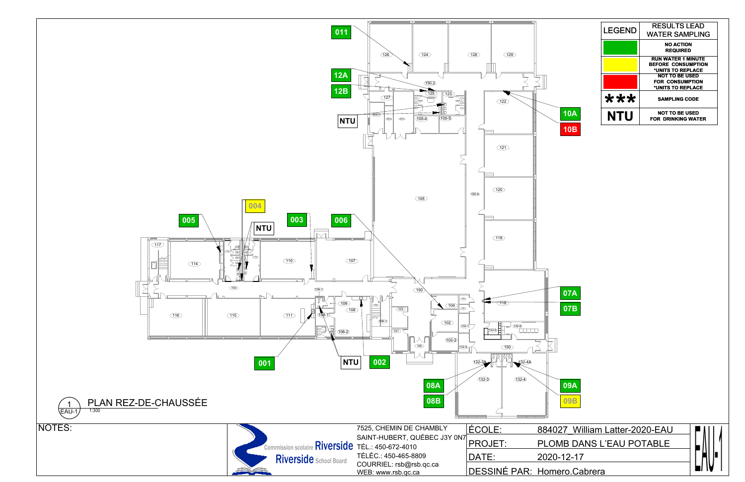

| <b>LEGEND</b> | <b>RESULTS LEAD</b>       |
|---------------|---------------------------|
|               | <b>WATER SAMPLING</b>     |
|               | <b>NO ACTION</b>          |
|               | <b>REQUIRED</b>           |
|               | <b>RUN WATER 1 MINUTE</b> |
|               | <b>BEFORE CONSUMPTION</b> |
|               | *UNITS TO REPLACE         |
|               | <b>NOT TO BE USED</b>     |
|               | <b>FOR CONSUMPTION</b>    |
|               | *UNITS TO REPLACE         |
| ***           | <b>SAMPLING CODE</b>      |
| NTI I         | <b>NOT TO BE USED</b>     |
|               | <b>FOR DRINKING WATER</b> |